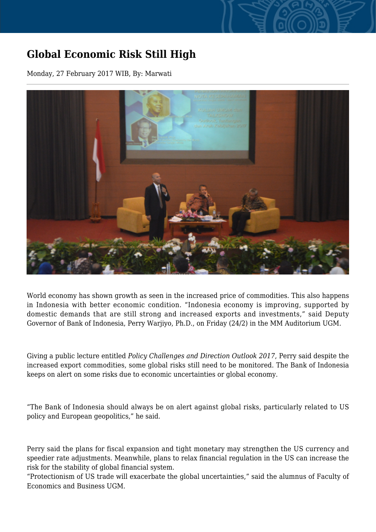## **Global Economic Risk Still High**

Monday, 27 February 2017 WIB, By: Marwati



World economy has shown growth as seen in the increased price of commodities. This also happens in Indonesia with better economic condition. "Indonesia economy is improving, supported by domestic demands that are still strong and increased exports and investments," said Deputy Governor of Bank of Indonesia, Perry Warjiyo, Ph.D., on Friday (24/2) in the MM Auditorium UGM.

Giving a public lecture entitled *Policy Challenges and Direction Outlook 2017*, Perry said despite the increased export commodities, some global risks still need to be monitored. The Bank of Indonesia keeps on alert on some risks due to economic uncertainties or global economy.

"The Bank of Indonesia should always be on alert against global risks, particularly related to US policy and European geopolitics," he said.

Perry said the plans for fiscal expansion and tight monetary may strengthen the US currency and speedier rate adjustments. Meanwhile, plans to relax financial regulation in the US can increase the risk for the stability of global financial system.

"Protectionism of US trade will exacerbate the global uncertainties," said the alumnus of Faculty of Economics and Business UGM.